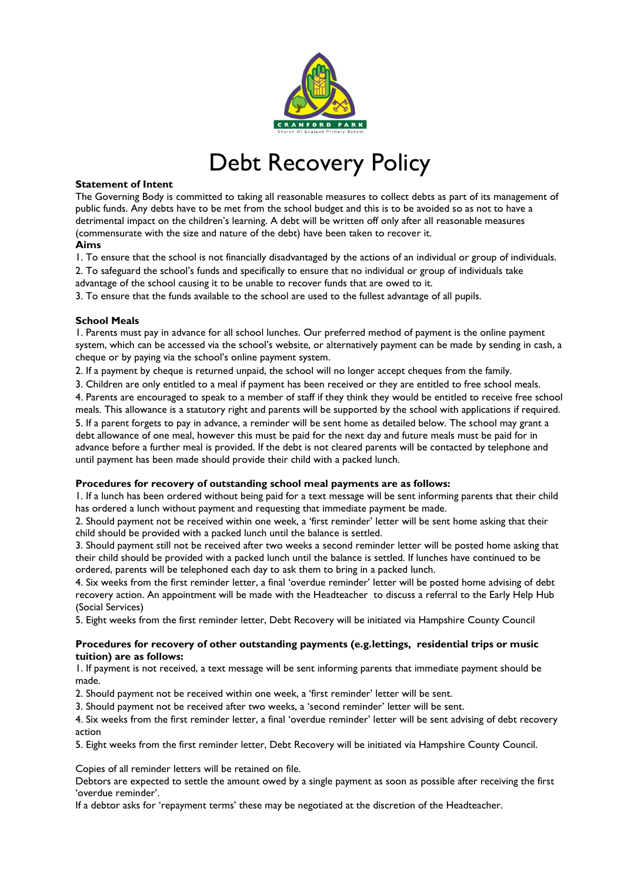

# Debt Recovery Policy

## **Statement of Intent**

The Governing Body is committed to taking all reasonable measures to collect debts as part of its management of public funds. Any debts have to be met from the school budget and this is to be avoided so as not to have a detrimental impact on the children's learning. A debt will be written off only after all reasonable measures (commensurate with the size and nature of the debt) have been taken to recover it.

## **Aims**

1. To ensure that the school is not financially disadvantaged by the actions of an individual or group of individuals. 2. To safeguard the school's funds and specifically to ensure that no individual or group of individuals take advantage of the school causing it to be unable to recover funds that are owed to it.

3. To ensure that the funds available to the school are used to the fullest advantage of all pupils.

## **School Meals**

1. Parents must pay in advance for all school lunches. Our preferred method of payment is the online payment system, which can be accessed via the school's website, or alternatively payment can be made by sending in cash, a cheque or by paying via the school's online payment system.

2. If a payment by cheque is returned unpaid, the school will no longer accept cheques from the family.

3. Children are only entitled to a meal if payment has been received or they are entitled to free school meals.

4. Parents are encouraged to speak to a member of staff if they think they would be entitled to receive free school meals. This allowance is a statutory right and parents will be supported by the school with applications if required. 5. If a parent forgets to pay in advance, a reminder will be sent home as detailed below. The school may grant a debt allowance of one meal, however this must be paid for the next day and future meals must be paid for in advance before a further meal is provided. If the debt is not cleared parents will be contacted by telephone and until payment has been made should provide their child with a packed lunch.

### **Procedures for recovery of outstanding school meal payments are as follows:**

1. If a lunch has been ordered without being paid for a text message will be sent informing parents that their child has ordered a lunch without payment and requesting that immediate payment be made.

2. Should payment not be received within one week, a 'first reminder' letter will be sent home asking that their child should be provided with a packed lunch until the balance is settled.

3. Should payment still not be received after two weeks a second reminder letter will be posted home asking that their child should be provided with a packed lunch until the balance is settled. If lunches have continued to be ordered, parents will be telephoned each day to ask them to bring in a packed lunch.

4. Six weeks from the first reminder letter, a final 'overdue reminder' letter will be posted home advising of debt recovery action. An appointment will be made with the Headteacher to discuss a referral to the Early Help Hub (Social Services)

5. Eight weeks from the first reminder letter, Debt Recovery will be initiated via Hampshire County Council

### **Procedures for recovery of other outstanding payments (e.g.lettings, residential trips or music tuition) are as follows:**

1. If payment is not received, a text message will be sent informing parents that immediate payment should be made.

2. Should payment not be received within one week, a 'first reminder' letter will be sent.

3. Should payment not be received after two weeks, a 'second reminder' letter will be sent.

4. Six weeks from the first reminder letter, a final 'overdue reminder' letter will be sent advising of debt recovery action

5. Eight weeks from the first reminder letter, Debt Recovery will be initiated via Hampshire County Council.

Copies of all reminder letters will be retained on file.

Debtors are expected to settle the amount owed by a single payment as soon as possible after receiving the first 'overdue reminder'.

If a debtor asks for 'repayment terms' these may be negotiated at the discretion of the Headteacher.